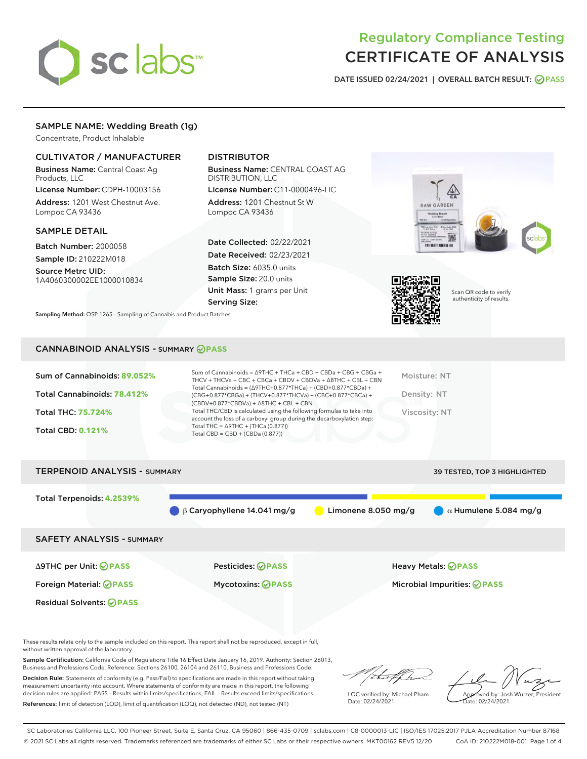

# Regulatory Compliance Testing CERTIFICATE OF ANALYSIS

DATE ISSUED 02/24/2021 | OVERALL BATCH RESULT: @ PASS

# SAMPLE NAME: Wedding Breath (1g)

Concentrate, Product Inhalable

# CULTIVATOR / MANUFACTURER

Business Name: Central Coast Ag Products, LLC

License Number: CDPH-10003156 Address: 1201 West Chestnut Ave. Lompoc CA 93436

#### SAMPLE DETAIL

Batch Number: 2000058 Sample ID: 210222M018

Source Metrc UID: 1A4060300002EE1000010834

# DISTRIBUTOR

Business Name: CENTRAL COAST AG DISTRIBUTION, LLC

License Number: C11-0000496-LIC Address: 1201 Chestnut St W Lompoc CA 93436

Date Collected: 02/22/2021 Date Received: 02/23/2021 Batch Size: 6035.0 units Sample Size: 20.0 units Unit Mass: 1 grams per Unit Serving Size:

Sampling Method: QSP 1265 - Sampling of Cannabis and Product Batches





Scan QR code to verify authenticity of results.

## CANNABINOID ANALYSIS - SUMMARY **PASS**

| Sum of Cannabinoids: 89.052% | Sum of Cannabinoids = $\triangle$ 9THC + THCa + CBD + CBDa + CBG + CBGa +<br>THCV + THCVa + CBC + CBCa + CBDV + CBDVa + $\Delta$ 8THC + CBL + CBN                                    | Moisture: NT  |
|------------------------------|--------------------------------------------------------------------------------------------------------------------------------------------------------------------------------------|---------------|
| Total Cannabinoids: 78.412%  | Total Cannabinoids = $(\Delta$ 9THC+0.877*THCa) + (CBD+0.877*CBDa) +<br>(CBG+0.877*CBGa) + (THCV+0.877*THCVa) + (CBC+0.877*CBCa) +<br>$(CBDV+0.877*CBDVa) + \Delta 8THC + CBL + CBN$ | Density: NT   |
| <b>Total THC: 75.724%</b>    | Total THC/CBD is calculated using the following formulas to take into<br>account the loss of a carboxyl group during the decarboxylation step:                                       | Viscosity: NT |
| <b>Total CBD: 0.121%</b>     | Total THC = $\triangle$ 9THC + (THCa (0.877))<br>Total CBD = $CBD + (CBDa (0.877))$                                                                                                  |               |
|                              |                                                                                                                                                                                      |               |



These results relate only to the sample included on this report. This report shall not be reproduced, except in full, without written approval of the laboratory.

Sample Certification: California Code of Regulations Title 16 Effect Date January 16, 2019. Authority: Section 26013, Business and Professions Code. Reference: Sections 26100, 26104 and 26110, Business and Professions Code.

Decision Rule: Statements of conformity (e.g. Pass/Fail) to specifications are made in this report without taking measurement uncertainty into account. Where statements of conformity are made in this report, the following decision rules are applied: PASS – Results within limits/specifications, FAIL – Results exceed limits/specifications. References: limit of detection (LOD), limit of quantification (LOQ), not detected (ND), not tested (NT)

that f Ir

LQC verified by: Michael Pham Date: 02/24/2021

Approved by: Josh Wurzer, President ate: 02/24/2021

SC Laboratories California LLC. 100 Pioneer Street, Suite E, Santa Cruz, CA 95060 | 866-435-0709 | sclabs.com | C8-0000013-LIC | ISO/IES 17025:2017 PJLA Accreditation Number 87168 © 2021 SC Labs all rights reserved. Trademarks referenced are trademarks of either SC Labs or their respective owners. MKT00162 REV5 12/20 CoA ID: 210222M018-001 Page 1 of 4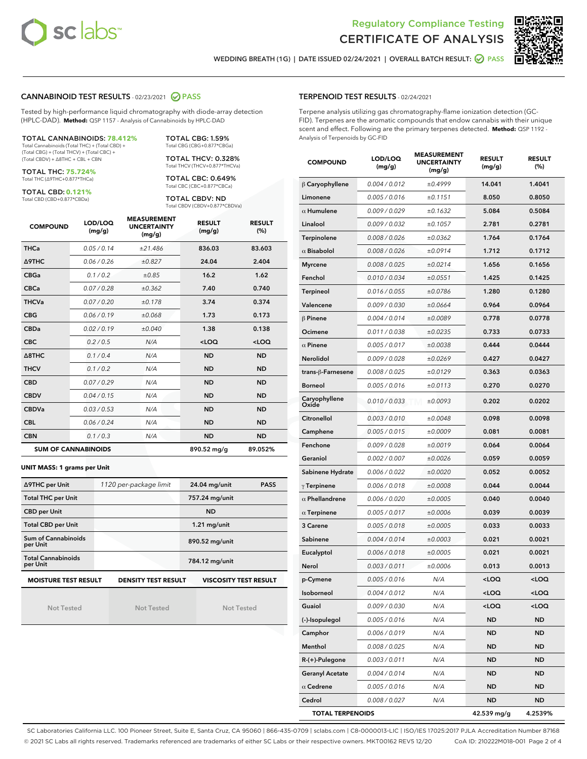



WEDDING BREATH (1G) | DATE ISSUED 02/24/2021 | OVERALL BATCH RESULT:  $\bigcirc$  PASS

## CANNABINOID TEST RESULTS - 02/23/2021 2 PASS

Tested by high-performance liquid chromatography with diode-array detection (HPLC-DAD). **Method:** QSP 1157 - Analysis of Cannabinoids by HPLC-DAD

TOTAL CANNABINOIDS: **78.412%** Total Cannabinoids (Total THC) + (Total CBD) +

(Total CBG) + (Total THCV) + (Total CBC) + (Total CBDV) + ∆8THC + CBL + CBN

TOTAL THC: **75.724%** Total THC (∆9THC+0.877\*THCa)

TOTAL CBD: **0.121%**

Total CBD (CBD+0.877\*CBDa)

TOTAL CBG: 1.59% Total CBG (CBG+0.877\*CBGa) TOTAL THCV: 0.328% Total THCV (THCV+0.877\*THCVa)

TOTAL CBC: 0.649% Total CBC (CBC+0.877\*CBCa)

TOTAL CBDV: ND Total CBDV (CBDV+0.877\*CBDVa)

| <b>COMPOUND</b>  | LOD/LOQ<br>(mg/g)          | <b>MEASUREMENT</b><br><b>UNCERTAINTY</b><br>(mg/g) | <b>RESULT</b><br>(mg/g) | <b>RESULT</b><br>(%) |
|------------------|----------------------------|----------------------------------------------------|-------------------------|----------------------|
| <b>THCa</b>      | 0.05/0.14                  | ±21.486                                            | 836.03                  | 83.603               |
| <b>A9THC</b>     | 0.06 / 0.26                | ±0.827                                             | 24.04                   | 2.404                |
| <b>CBGa</b>      | 0.1 / 0.2                  | ±0.85                                              | 16.2                    | 1.62                 |
| <b>CBCa</b>      | 0.07/0.28                  | ±0.362                                             | 7.40                    | 0.740                |
| <b>THCVa</b>     | 0.07/0.20                  | ±0.178                                             | 3.74                    | 0.374                |
| <b>CBG</b>       | 0.06/0.19                  | ±0.068                                             | 1.73                    | 0.173                |
| <b>CBDa</b>      | 0.02/0.19                  | ±0.040                                             | 1.38                    | 0.138                |
| <b>CBC</b>       | 0.2/0.5                    | N/A                                                | $<$ LOQ                 | $<$ LOQ              |
| $\triangle$ 8THC | 0.1/0.4                    | N/A                                                | <b>ND</b>               | <b>ND</b>            |
| <b>THCV</b>      | 0.1/0.2                    | N/A                                                | <b>ND</b>               | <b>ND</b>            |
| <b>CBD</b>       | 0.07/0.29                  | N/A                                                | <b>ND</b>               | <b>ND</b>            |
| <b>CBDV</b>      | 0.04/0.15                  | N/A                                                | <b>ND</b>               | <b>ND</b>            |
| <b>CBDVa</b>     | 0.03/0.53                  | N/A                                                | <b>ND</b>               | <b>ND</b>            |
| <b>CBL</b>       | 0.06 / 0.24                | N/A                                                | <b>ND</b>               | <b>ND</b>            |
| <b>CBN</b>       | 0.1/0.3                    | N/A                                                | <b>ND</b>               | <b>ND</b>            |
|                  | <b>SUM OF CANNABINOIDS</b> |                                                    | 890.52 mg/g             | 89.052%              |

#### **UNIT MASS: 1 grams per Unit**

| ∆9THC per Unit                        | 1120 per-package limit     | 24.04 mg/unit<br><b>PASS</b> |  |
|---------------------------------------|----------------------------|------------------------------|--|
| <b>Total THC per Unit</b>             |                            | 757.24 mg/unit               |  |
| <b>CBD per Unit</b>                   |                            | <b>ND</b>                    |  |
| <b>Total CBD per Unit</b>             |                            | $1.21$ mg/unit               |  |
| Sum of Cannabinoids<br>per Unit       |                            | 890.52 mg/unit               |  |
| <b>Total Cannabinoids</b><br>per Unit |                            | 784.12 mg/unit               |  |
| <b>MOISTURE TEST RESULT</b>           | <b>DENSITY TEST RESULT</b> | <b>VISCOSITY TEST RESULT</b> |  |

**MOISTURE TEST RESULT**

Not Tested

Not Tested

Not Tested

#### TERPENOID TEST RESULTS - 02/24/2021

Terpene analysis utilizing gas chromatography-flame ionization detection (GC-FID). Terpenes are the aromatic compounds that endow cannabis with their unique scent and effect. Following are the primary terpenes detected. **Method:** QSP 1192 - Analysis of Terpenoids by GC-FID

| <b>COMPOUND</b>         | LOD/LOQ<br>(mg/g) | <b>MEASUREMENT</b><br><b>UNCERTAINTY</b><br>(mg/g) | <b>RESULT</b><br>(mg/g)                         | <b>RESULT</b><br>(%) |
|-------------------------|-------------------|----------------------------------------------------|-------------------------------------------------|----------------------|
| $\beta$ Caryophyllene   | 0.004 / 0.012     | ±0.4999                                            | 14.041                                          | 1.4041               |
| Limonene                | 0.005 / 0.016     | ±0.1151                                            | 8.050                                           | 0.8050               |
| $\alpha$ Humulene       | 0.009/0.029       | ±0.1632                                            | 5.084                                           | 0.5084               |
| Linalool                | 0.009 / 0.032     | ±0.1057                                            | 2.781                                           | 0.2781               |
| Terpinolene             | 0.008 / 0.026     | ±0.0362                                            | 1.764                                           | 0.1764               |
| $\alpha$ Bisabolol      | 0.008 / 0.026     | ±0.0914                                            | 1.712                                           | 0.1712               |
| <b>Myrcene</b>          | 0.008 / 0.025     | ±0.0214                                            | 1.656                                           | 0.1656               |
| Fenchol                 | 0.010 / 0.034     | ±0.0551                                            | 1.425                                           | 0.1425               |
| Terpineol               | 0.016 / 0.055     | ±0.0786                                            | 1.280                                           | 0.1280               |
| Valencene               | 0.009 / 0.030     | ±0.0664                                            | 0.964                                           | 0.0964               |
| $\beta$ Pinene          | 0.004 / 0.014     | ±0.0089                                            | 0.778                                           | 0.0778               |
| Ocimene                 | 0.011 / 0.038     | ±0.0235                                            | 0.733                                           | 0.0733               |
| $\alpha$ Pinene         | 0.005 / 0.017     | ±0.0038                                            | 0.444                                           | 0.0444               |
| <b>Nerolidol</b>        | 0.009 / 0.028     | ±0.0269                                            | 0.427                                           | 0.0427               |
| trans-ß-Farnesene       | 0.008 / 0.025     | ±0.0129                                            | 0.363                                           | 0.0363               |
| <b>Borneol</b>          | 0.005 / 0.016     | ±0.0113                                            | 0.270                                           | 0.0270               |
| Caryophyllene<br>Oxide  | 0.010 / 0.033     | ±0.0093                                            | 0.202                                           | 0.0202               |
| Citronellol             | 0.003 / 0.010     | ±0.0048                                            | 0.098                                           | 0.0098               |
| Camphene                | 0.005 / 0.015     | ±0.0009                                            | 0.081                                           | 0.0081               |
| Fenchone                | 0.009 / 0.028     | ±0.0019                                            | 0.064                                           | 0.0064               |
| Geraniol                | 0.002 / 0.007     | ±0.0026                                            | 0.059                                           | 0.0059               |
| Sabinene Hydrate        | 0.006 / 0.022     | ±0.0020                                            | 0.052                                           | 0.0052               |
| $\gamma$ Terpinene      | 0.006 / 0.018     | ±0.0008                                            | 0.044                                           | 0.0044               |
| $\alpha$ Phellandrene   | 0.006 / 0.020     | ±0.0005                                            | 0.040                                           | 0.0040               |
| $\alpha$ Terpinene      | 0.005 / 0.017     | ±0.0006                                            | 0.039                                           | 0.0039               |
| 3 Carene                | 0.005 / 0.018     | ±0.0005                                            | 0.033                                           | 0.0033               |
| Sabinene                | 0.004 / 0.014     | ±0.0003                                            | 0.021                                           | 0.0021               |
| Eucalyptol              | 0.006 / 0.018     | ±0.0005                                            | 0.021                                           | 0.0021               |
| Nerol                   | 0.003 / 0.011     | ±0.0006                                            | 0.013                                           | 0.0013               |
| p-Cymene                | 0.005/0.016       | N/A                                                | <loq< th=""><th><loq< th=""></loq<></th></loq<> | <loq< th=""></loq<>  |
| Isoborneol              | 0.004 / 0.012     | N/A                                                | <loq< th=""><th>100</th></loq<>                 | 100                  |
| Guaiol                  | 0.009 / 0.030     | N/A                                                | <loq< th=""><th><loq< th=""></loq<></th></loq<> | <loq< th=""></loq<>  |
| (-)-Isopulegol          | 0.005 / 0.016     | N/A                                                | ND                                              | ND                   |
| Camphor                 | 0.006 / 0.019     | N/A                                                | ND                                              | ND                   |
| Menthol                 | 0.008 / 0.025     | N/A                                                | ND                                              | ND                   |
| R-(+)-Pulegone          | 0.003 / 0.011     | N/A                                                | ND                                              | ND                   |
| <b>Geranyl Acetate</b>  | 0.004 / 0.014     | N/A                                                | ND                                              | ND                   |
| $\alpha$ Cedrene        | 0.005 / 0.016     | N/A                                                | ND                                              | ND                   |
| Cedrol                  | 0.008 / 0.027     | N/A                                                | ND                                              | ND                   |
| <b>TOTAL TERPENOIDS</b> |                   |                                                    | 42.539 mg/g                                     | 4.2539%              |

SC Laboratories California LLC. 100 Pioneer Street, Suite E, Santa Cruz, CA 95060 | 866-435-0709 | sclabs.com | C8-0000013-LIC | ISO/IES 17025:2017 PJLA Accreditation Number 87168 © 2021 SC Labs all rights reserved. Trademarks referenced are trademarks of either SC Labs or their respective owners. MKT00162 REV5 12/20 CoA ID: 210222M018-001 Page 2 of 4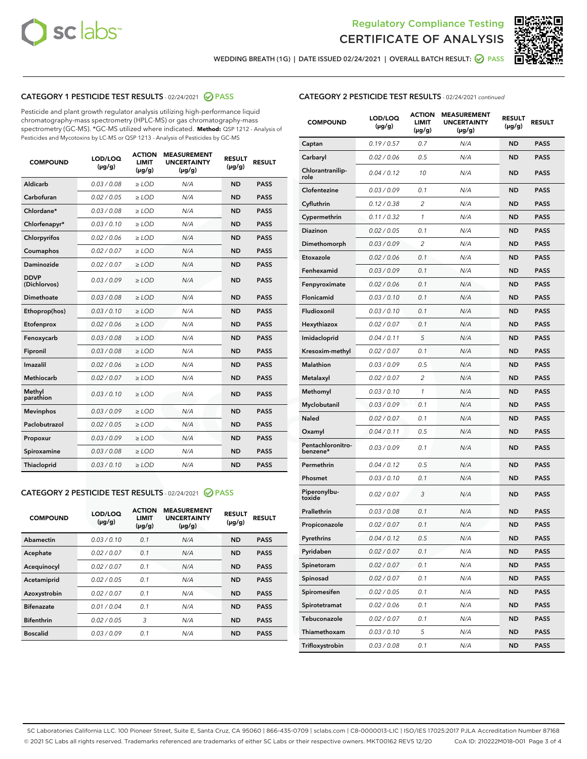



WEDDING BREATH (1G) | DATE ISSUED 02/24/2021 | OVERALL BATCH RESULT: @ PASS

# CATEGORY 1 PESTICIDE TEST RESULTS - 02/24/2021 2 PASS

Pesticide and plant growth regulator analysis utilizing high-performance liquid chromatography-mass spectrometry (HPLC-MS) or gas chromatography-mass spectrometry (GC-MS). \*GC-MS utilized where indicated. **Method:** QSP 1212 - Analysis of Pesticides and Mycotoxins by LC-MS or QSP 1213 - Analysis of Pesticides by GC-MS

| 0.03 / 0.08<br><b>ND</b><br><b>PASS</b><br>Aldicarb<br>$\ge$ LOD<br>N/A<br>Carbofuran<br>0.02 / 0.05<br>N/A<br>$\ge$ LOD<br><b>ND</b><br><b>PASS</b><br>Chlordane*<br>0.03 / 0.08<br>$\ge$ LOD<br>N/A<br><b>ND</b><br><b>PASS</b><br>Chlorfenapyr*<br>0.03/0.10<br>$\ge$ LOD<br>N/A<br><b>ND</b><br><b>PASS</b><br>0.02 / 0.06<br>N/A<br><b>ND</b><br><b>PASS</b><br>Chlorpyrifos<br>$\ge$ LOD<br>N/A<br>Coumaphos<br>0.02 / 0.07<br><b>ND</b><br><b>PASS</b><br>$\ge$ LOD<br>Daminozide<br>0.02 / 0.07<br>N/A<br><b>ND</b><br><b>PASS</b><br>$\ge$ LOD<br><b>DDVP</b><br>0.03/0.09<br>$>$ LOD<br>N/A<br><b>ND</b><br><b>PASS</b><br>(Dichlorvos)<br>Dimethoate<br>0.03/0.08<br>$\ge$ LOD<br>N/A<br><b>PASS</b><br><b>ND</b><br>0.03 / 0.10<br>N/A<br><b>ND</b><br><b>PASS</b><br>Ethoprop(hos)<br>$>$ LOD<br>0.02 / 0.06<br>N/A<br><b>ND</b><br><b>PASS</b><br>$\ge$ LOD<br>Etofenprox<br>Fenoxycarb<br>0.03/0.08<br>$\ge$ LOD<br>N/A<br><b>ND</b><br><b>PASS</b><br>0.03/0.08<br>$\ge$ LOD<br>N/A<br><b>ND</b><br><b>PASS</b><br>Fipronil<br>Imazalil<br>0.02 / 0.06<br>$>$ LOD<br>N/A<br><b>ND</b><br><b>PASS</b><br><b>Methiocarb</b><br>0.02 / 0.07<br>$\ge$ LOD<br>N/A<br><b>ND</b><br><b>PASS</b><br>Methyl<br>0.03/0.10<br>N/A<br><b>ND</b><br>$\ge$ LOD<br><b>PASS</b><br>parathion<br>0.03/0.09<br><b>Mevinphos</b><br>$\ge$ LOD<br>N/A<br><b>ND</b><br><b>PASS</b><br>Paclobutrazol<br>0.02 / 0.05<br>N/A<br>$>$ LOD<br><b>ND</b><br><b>PASS</b><br>0.03/0.09<br>N/A<br>$\ge$ LOD<br><b>ND</b><br><b>PASS</b><br>Propoxur<br>0.03 / 0.08<br><b>ND</b><br><b>PASS</b><br>Spiroxamine<br>$\ge$ LOD<br>N/A<br>Thiacloprid<br>0.03/0.10<br>N/A<br><b>ND</b><br><b>PASS</b><br>$\ge$ LOD | <b>COMPOUND</b> | LOD/LOQ<br>$(\mu g/g)$ | <b>ACTION</b><br><b>LIMIT</b><br>$(\mu g/g)$ | <b>MEASUREMENT</b><br><b>UNCERTAINTY</b><br>$(\mu g/g)$ | <b>RESULT</b><br>$(\mu g/g)$ | <b>RESULT</b> |
|------------------------------------------------------------------------------------------------------------------------------------------------------------------------------------------------------------------------------------------------------------------------------------------------------------------------------------------------------------------------------------------------------------------------------------------------------------------------------------------------------------------------------------------------------------------------------------------------------------------------------------------------------------------------------------------------------------------------------------------------------------------------------------------------------------------------------------------------------------------------------------------------------------------------------------------------------------------------------------------------------------------------------------------------------------------------------------------------------------------------------------------------------------------------------------------------------------------------------------------------------------------------------------------------------------------------------------------------------------------------------------------------------------------------------------------------------------------------------------------------------------------------------------------------------------------------------------------------------------------------------------------------------------------------------------------------|-----------------|------------------------|----------------------------------------------|---------------------------------------------------------|------------------------------|---------------|
|                                                                                                                                                                                                                                                                                                                                                                                                                                                                                                                                                                                                                                                                                                                                                                                                                                                                                                                                                                                                                                                                                                                                                                                                                                                                                                                                                                                                                                                                                                                                                                                                                                                                                                |                 |                        |                                              |                                                         |                              |               |
|                                                                                                                                                                                                                                                                                                                                                                                                                                                                                                                                                                                                                                                                                                                                                                                                                                                                                                                                                                                                                                                                                                                                                                                                                                                                                                                                                                                                                                                                                                                                                                                                                                                                                                |                 |                        |                                              |                                                         |                              |               |
|                                                                                                                                                                                                                                                                                                                                                                                                                                                                                                                                                                                                                                                                                                                                                                                                                                                                                                                                                                                                                                                                                                                                                                                                                                                                                                                                                                                                                                                                                                                                                                                                                                                                                                |                 |                        |                                              |                                                         |                              |               |
|                                                                                                                                                                                                                                                                                                                                                                                                                                                                                                                                                                                                                                                                                                                                                                                                                                                                                                                                                                                                                                                                                                                                                                                                                                                                                                                                                                                                                                                                                                                                                                                                                                                                                                |                 |                        |                                              |                                                         |                              |               |
|                                                                                                                                                                                                                                                                                                                                                                                                                                                                                                                                                                                                                                                                                                                                                                                                                                                                                                                                                                                                                                                                                                                                                                                                                                                                                                                                                                                                                                                                                                                                                                                                                                                                                                |                 |                        |                                              |                                                         |                              |               |
|                                                                                                                                                                                                                                                                                                                                                                                                                                                                                                                                                                                                                                                                                                                                                                                                                                                                                                                                                                                                                                                                                                                                                                                                                                                                                                                                                                                                                                                                                                                                                                                                                                                                                                |                 |                        |                                              |                                                         |                              |               |
|                                                                                                                                                                                                                                                                                                                                                                                                                                                                                                                                                                                                                                                                                                                                                                                                                                                                                                                                                                                                                                                                                                                                                                                                                                                                                                                                                                                                                                                                                                                                                                                                                                                                                                |                 |                        |                                              |                                                         |                              |               |
|                                                                                                                                                                                                                                                                                                                                                                                                                                                                                                                                                                                                                                                                                                                                                                                                                                                                                                                                                                                                                                                                                                                                                                                                                                                                                                                                                                                                                                                                                                                                                                                                                                                                                                |                 |                        |                                              |                                                         |                              |               |
|                                                                                                                                                                                                                                                                                                                                                                                                                                                                                                                                                                                                                                                                                                                                                                                                                                                                                                                                                                                                                                                                                                                                                                                                                                                                                                                                                                                                                                                                                                                                                                                                                                                                                                |                 |                        |                                              |                                                         |                              |               |
|                                                                                                                                                                                                                                                                                                                                                                                                                                                                                                                                                                                                                                                                                                                                                                                                                                                                                                                                                                                                                                                                                                                                                                                                                                                                                                                                                                                                                                                                                                                                                                                                                                                                                                |                 |                        |                                              |                                                         |                              |               |
|                                                                                                                                                                                                                                                                                                                                                                                                                                                                                                                                                                                                                                                                                                                                                                                                                                                                                                                                                                                                                                                                                                                                                                                                                                                                                                                                                                                                                                                                                                                                                                                                                                                                                                |                 |                        |                                              |                                                         |                              |               |
|                                                                                                                                                                                                                                                                                                                                                                                                                                                                                                                                                                                                                                                                                                                                                                                                                                                                                                                                                                                                                                                                                                                                                                                                                                                                                                                                                                                                                                                                                                                                                                                                                                                                                                |                 |                        |                                              |                                                         |                              |               |
|                                                                                                                                                                                                                                                                                                                                                                                                                                                                                                                                                                                                                                                                                                                                                                                                                                                                                                                                                                                                                                                                                                                                                                                                                                                                                                                                                                                                                                                                                                                                                                                                                                                                                                |                 |                        |                                              |                                                         |                              |               |
|                                                                                                                                                                                                                                                                                                                                                                                                                                                                                                                                                                                                                                                                                                                                                                                                                                                                                                                                                                                                                                                                                                                                                                                                                                                                                                                                                                                                                                                                                                                                                                                                                                                                                                |                 |                        |                                              |                                                         |                              |               |
|                                                                                                                                                                                                                                                                                                                                                                                                                                                                                                                                                                                                                                                                                                                                                                                                                                                                                                                                                                                                                                                                                                                                                                                                                                                                                                                                                                                                                                                                                                                                                                                                                                                                                                |                 |                        |                                              |                                                         |                              |               |
|                                                                                                                                                                                                                                                                                                                                                                                                                                                                                                                                                                                                                                                                                                                                                                                                                                                                                                                                                                                                                                                                                                                                                                                                                                                                                                                                                                                                                                                                                                                                                                                                                                                                                                |                 |                        |                                              |                                                         |                              |               |
|                                                                                                                                                                                                                                                                                                                                                                                                                                                                                                                                                                                                                                                                                                                                                                                                                                                                                                                                                                                                                                                                                                                                                                                                                                                                                                                                                                                                                                                                                                                                                                                                                                                                                                |                 |                        |                                              |                                                         |                              |               |
|                                                                                                                                                                                                                                                                                                                                                                                                                                                                                                                                                                                                                                                                                                                                                                                                                                                                                                                                                                                                                                                                                                                                                                                                                                                                                                                                                                                                                                                                                                                                                                                                                                                                                                |                 |                        |                                              |                                                         |                              |               |
|                                                                                                                                                                                                                                                                                                                                                                                                                                                                                                                                                                                                                                                                                                                                                                                                                                                                                                                                                                                                                                                                                                                                                                                                                                                                                                                                                                                                                                                                                                                                                                                                                                                                                                |                 |                        |                                              |                                                         |                              |               |
|                                                                                                                                                                                                                                                                                                                                                                                                                                                                                                                                                                                                                                                                                                                                                                                                                                                                                                                                                                                                                                                                                                                                                                                                                                                                                                                                                                                                                                                                                                                                                                                                                                                                                                |                 |                        |                                              |                                                         |                              |               |
|                                                                                                                                                                                                                                                                                                                                                                                                                                                                                                                                                                                                                                                                                                                                                                                                                                                                                                                                                                                                                                                                                                                                                                                                                                                                                                                                                                                                                                                                                                                                                                                                                                                                                                |                 |                        |                                              |                                                         |                              |               |

## CATEGORY 2 PESTICIDE TEST RESULTS - 02/24/2021 @ PASS

| <b>COMPOUND</b>   | LOD/LOQ<br>$(\mu g/g)$ | <b>ACTION</b><br><b>LIMIT</b><br>$(\mu g/g)$ | <b>MEASUREMENT</b><br><b>UNCERTAINTY</b><br>$(\mu g/g)$ | <b>RESULT</b><br>$(\mu g/g)$ | <b>RESULT</b> |
|-------------------|------------------------|----------------------------------------------|---------------------------------------------------------|------------------------------|---------------|
| Abamectin         | 0.03/0.10              | 0.1                                          | N/A                                                     | <b>ND</b>                    | <b>PASS</b>   |
| Acephate          | 0.02/0.07              | 0.1                                          | N/A                                                     | <b>ND</b>                    | <b>PASS</b>   |
| Acequinocyl       | 0.02/0.07              | 0.1                                          | N/A                                                     | <b>ND</b>                    | <b>PASS</b>   |
| Acetamiprid       | 0.02/0.05              | 0.1                                          | N/A                                                     | <b>ND</b>                    | <b>PASS</b>   |
| Azoxystrobin      | 0.02/0.07              | 0.1                                          | N/A                                                     | <b>ND</b>                    | <b>PASS</b>   |
| <b>Bifenazate</b> | 0.01/0.04              | 0.1                                          | N/A                                                     | <b>ND</b>                    | <b>PASS</b>   |
| <b>Bifenthrin</b> | 0.02/0.05              | 3                                            | N/A                                                     | <b>ND</b>                    | <b>PASS</b>   |
| <b>Boscalid</b>   | 0.03/0.09              | 0.1                                          | N/A                                                     | <b>ND</b>                    | <b>PASS</b>   |

# CATEGORY 2 PESTICIDE TEST RESULTS - 02/24/2021 continued

| <b>COMPOUND</b>               | LOD/LOQ<br>(µg/g) | <b>ACTION</b><br>LIMIT<br>$(\mu g/g)$ | <b>MEASUREMENT</b><br><b>UNCERTAINTY</b><br>$(\mu g/g)$ | <b>RESULT</b><br>(µg/g) | <b>RESULT</b> |
|-------------------------------|-------------------|---------------------------------------|---------------------------------------------------------|-------------------------|---------------|
| Captan                        | 0.19/0.57         | 0.7                                   | N/A                                                     | <b>ND</b>               | <b>PASS</b>   |
| Carbaryl                      | 0.02 / 0.06       | 0.5                                   | N/A                                                     | <b>ND</b>               | <b>PASS</b>   |
| Chlorantranilip-<br>role      | 0.04 / 0.12       | 10                                    | N/A                                                     | <b>ND</b>               | <b>PASS</b>   |
| Clofentezine                  | 0.03 / 0.09       | 0.1                                   | N/A                                                     | <b>ND</b>               | <b>PASS</b>   |
| Cyfluthrin                    | 0.12 / 0.38       | $\overline{2}$                        | N/A                                                     | <b>ND</b>               | <b>PASS</b>   |
| Cypermethrin                  | 0.11 / 0.32       | 1                                     | N/A                                                     | <b>ND</b>               | <b>PASS</b>   |
| <b>Diazinon</b>               | 0.02 / 0.05       | 0.1                                   | N/A                                                     | <b>ND</b>               | <b>PASS</b>   |
| Dimethomorph                  | 0.03 / 0.09       | 2                                     | N/A                                                     | <b>ND</b>               | <b>PASS</b>   |
| Etoxazole                     | 0.02 / 0.06       | 0.1                                   | N/A                                                     | <b>ND</b>               | <b>PASS</b>   |
| Fenhexamid                    | 0.03 / 0.09       | 0.1                                   | N/A                                                     | <b>ND</b>               | <b>PASS</b>   |
| Fenpyroximate                 | 0.02 / 0.06       | 0.1                                   | N/A                                                     | <b>ND</b>               | <b>PASS</b>   |
| Flonicamid                    | 0.03 / 0.10       | 0.1                                   | N/A                                                     | <b>ND</b>               | <b>PASS</b>   |
| Fludioxonil                   | 0.03 / 0.10       | 0.1                                   | N/A                                                     | <b>ND</b>               | <b>PASS</b>   |
| Hexythiazox                   | 0.02 / 0.07       | 0.1                                   | N/A                                                     | <b>ND</b>               | <b>PASS</b>   |
| Imidacloprid                  | 0.04 / 0.11       | 5                                     | N/A                                                     | <b>ND</b>               | <b>PASS</b>   |
| Kresoxim-methyl               | 0.02 / 0.07       | 0.1                                   | N/A                                                     | <b>ND</b>               | <b>PASS</b>   |
| Malathion                     | 0.03 / 0.09       | 0.5                                   | N/A                                                     | <b>ND</b>               | <b>PASS</b>   |
| Metalaxyl                     | 0.02 / 0.07       | 2                                     | N/A                                                     | <b>ND</b>               | <b>PASS</b>   |
| Methomyl                      | 0.03 / 0.10       | 1                                     | N/A                                                     | <b>ND</b>               | <b>PASS</b>   |
| Myclobutanil                  | 0.03 / 0.09       | 0.1                                   | N/A                                                     | <b>ND</b>               | <b>PASS</b>   |
| Naled                         | 0.02 / 0.07       | 0.1                                   | N/A                                                     | <b>ND</b>               | <b>PASS</b>   |
| Oxamyl                        | 0.04 / 0.11       | 0.5                                   | N/A                                                     | <b>ND</b>               | <b>PASS</b>   |
| Pentachloronitro-<br>benzene* | 0.03 / 0.09       | 0.1                                   | N/A                                                     | <b>ND</b>               | <b>PASS</b>   |
| Permethrin                    | 0.04 / 0.12       | 0.5                                   | N/A                                                     | <b>ND</b>               | <b>PASS</b>   |
| Phosmet                       | 0.03/0.10         | 0.1                                   | N/A                                                     | <b>ND</b>               | <b>PASS</b>   |
| Piperonylbu-<br>toxide        | 0.02 / 0.07       | 3                                     | N/A                                                     | <b>ND</b>               | <b>PASS</b>   |
| Prallethrin                   | 0.03 / 0.08       | 0.1                                   | N/A                                                     | <b>ND</b>               | <b>PASS</b>   |
| Propiconazole                 | 0.02 / 0.07       | 0.1                                   | N/A                                                     | <b>ND</b>               | <b>PASS</b>   |
| Pyrethrins                    | 0.04 / 0.12       | 0.5                                   | N/A                                                     | ND                      | PASS          |
| Pyridaben                     | 0.02 / 0.07       | 0.1                                   | N/A                                                     | <b>ND</b>               | <b>PASS</b>   |
| Spinetoram                    | 0.02 / 0.07       | 0.1                                   | N/A                                                     | <b>ND</b>               | <b>PASS</b>   |
| Spinosad                      | 0.02 / 0.07       | 0.1                                   | N/A                                                     | <b>ND</b>               | <b>PASS</b>   |
| Spiromesifen                  | 0.02 / 0.05       | 0.1                                   | N/A                                                     | <b>ND</b>               | <b>PASS</b>   |
| Spirotetramat                 | 0.02 / 0.06       | 0.1                                   | N/A                                                     | <b>ND</b>               | <b>PASS</b>   |
| Tebuconazole                  | 0.02 / 0.07       | 0.1                                   | N/A                                                     | <b>ND</b>               | <b>PASS</b>   |
| Thiamethoxam                  | 0.03 / 0.10       | 5                                     | N/A                                                     | <b>ND</b>               | <b>PASS</b>   |
| Trifloxystrobin               | 0.03 / 0.08       | 0.1                                   | N/A                                                     | <b>ND</b>               | <b>PASS</b>   |